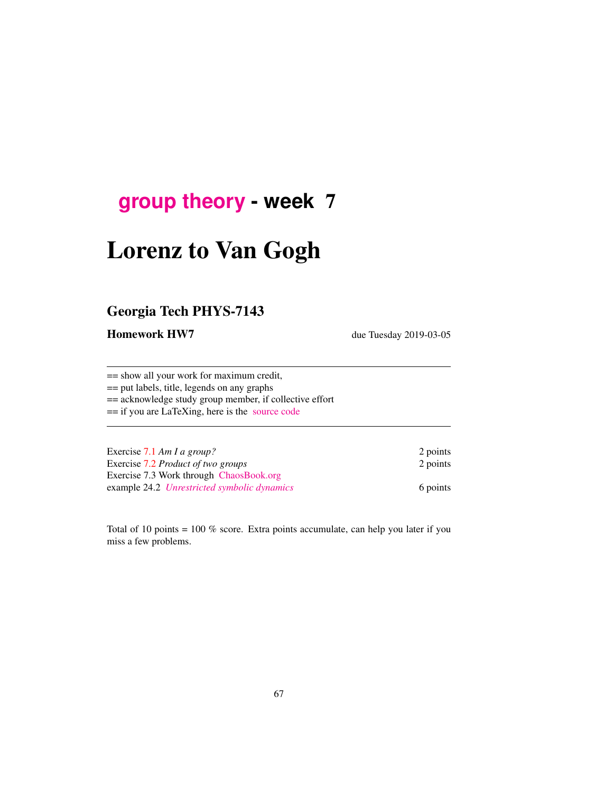## <span id="page-0-0"></span>**[group theory](http://birdtracks.eu/courses/PHYS-7143-19/schedule.html) - week** 7

# Lorenz to Van Gogh

## Georgia Tech PHYS-7143

Homework HW7 due Tuesday 2019-03-05

== show all your work for maximum credit, == put labels, title, legends on any graphs == acknowledge study group member, if collective effort == if you are LaTeXing, here is the [source code](http://birdtracks.eu/courses/PHYS-7143-19/exerWeek7.tex)

| Exercise 7.1 Am I a group?                  | 2 points |
|---------------------------------------------|----------|
| Exercise 7.2 Product of two groups          | 2 points |
| Exercise 7.3 Work through ChaosBook.org     |          |
| example 24.2 Unrestricted symbolic dynamics | 6 points |

Total of 10 points =  $100\%$  score. Extra points accumulate, can help you later if you miss a few problems.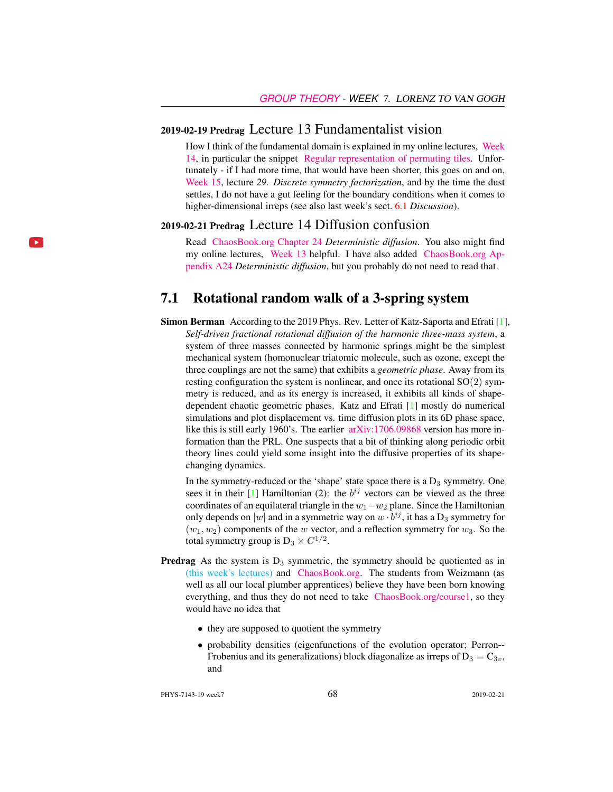#### 2019-02-19 Predrag Lecture 13 Fundamentalist vision

How I think of the fundamental domain is explained in my online lectures, [Week](http://chaosbook.org/course1/Course2w14.html) [14,](http://chaosbook.org/course1/Course2w14.html) in particular the snippet [Regular representation of permuting tiles.](http://www.youtube.com/embed/SnBUkUqsWTU) Unfortunately - if I had more time, that would have been shorter, this goes on and on, [Week 15,](http://chaosbook.org/course1/Course2w15.html) lecture *29. Discrete symmetry factorization*, and by the time the dust settles, I do not have a gut feeling for the boundary conditions when it comes to higher-dimensional irreps (see also last week's sect. 6.1 *Discussion*).

#### 2019-02-21 Predrag Lecture 14 Diffusion confusion

Read [ChaosBook.org Chapter 24](http://birdtracks.eu/courses/PHYS-7143-19/diffusion.pdf) *Deterministic diffusion*. You also might find my online lectures, [Week 13](http://chaosbook.org/course1/Course2w13.html) helpful. I have also added [ChaosBook.org Ap](http://birdtracks.eu/courses/PHYS-7143-19/appendDiff.pdf)[pendix A24](http://birdtracks.eu/courses/PHYS-7143-19/appendDiff.pdf) *Deterministic diffusion*, but you probably do not need to read that.

#### 7.1 Rotational random walk of a 3-spring system

Simon Berman According to the 2019 Phys. Rev. Letter of Katz-Saporta and Efrati [1], *Self-driven fractional rotational diffusion of the harmonic three-mass system*, a system of three masses connected by harmonic springs might be the simplest mechanical system (homonuclear triatomic molecule, such as ozone, except the three couplings are not the same) that exhibits a *geometric phase*. Away from its resting configuration the system is nonlinear, and once its rotational  $SO(2)$  symmetry is reduced, and as its energy is increased, it exhibits all kinds of shapedependent chaotic geometric phases. Katz and Efrati [1] mostly do numerical simulations and plot displacement vs. time diffusion plots in its 6D phase space, like this is still early 1960's. The earlier [arXiv:1706.09868](http://arXiv.org/abs/1706.09868) version has more information than the PRL. One suspects that a bit of thinking along periodic orbit theory lines could yield some insight into the diffusive properties of its shapechanging dynamics.

In the symmetry-reduced or the 'shape' state space there is a  $D_3$  symmetry. One sees it in their [1] Hamiltonian (2): the  $b^{ij}$  vectors can be viewed as the three coordinates of an equilateral triangle in the  $w_1-w_2$  plane. Since the Hamiltonian only depends on  $|w|$  and in a symmetric way on  $w \cdot b^{ij}$ , it has a  $D_3$  symmetry for  $(w_1, w_2)$  components of the w vector, and a reflection symmetry for  $w_3$ . So the total symmetry group is  $D_3 \times C^{1/2}$ .

- **Predrag** As the system is  $D_3$  symmetric, the symmetry should be quotiented as in [\(this week's lectures\)](#page-0-0) and [ChaosBook.org.](http://ChaosBook.org) The students from Weizmann (as well as all our local plumber apprentices) believe they have been born knowing everything, and thus they do not need to take [ChaosBook.org/course1,](http://ChaosBook.org/course1) so they would have no idea that
	- they are supposed to quotient the symmetry
	- probability densities (eigenfunctions of the evolution operator; Perron-- Frobenius and its generalizations) block diagonalize as irreps of  $D_3 = C_{3v}$ , and

PHYS-7143-19 week7 68 2019-02-21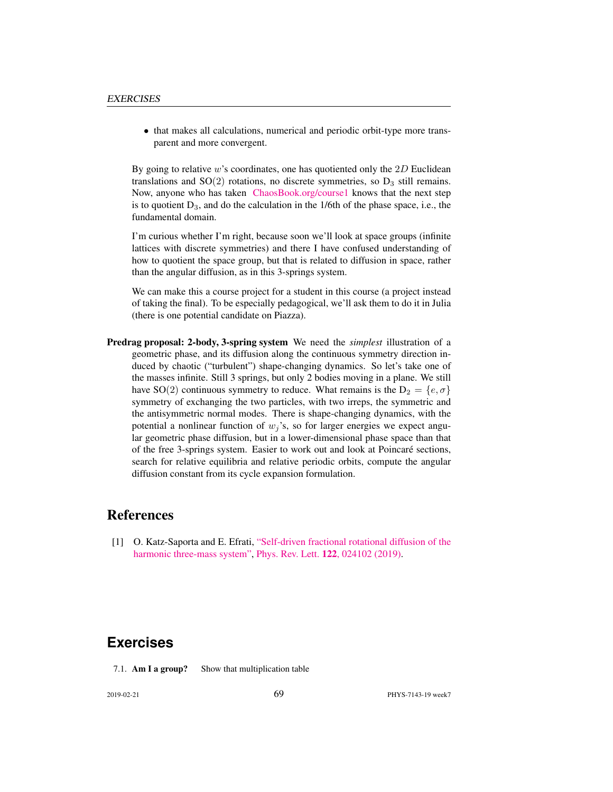• that makes all calculations, numerical and periodic orbit-type more transparent and more convergent.

By going to relative  $w$ 's coordinates, one has quotiented only the  $2D$  Euclidean translations and  $SO(2)$  rotations, no discrete symmetries, so  $D_3$  still remains. Now, anyone who has taken [ChaosBook.org/course1](http://ChaosBook.org/course1) knows that the next step is to quotient  $D_3$ , and do the calculation in the 1/6th of the phase space, i.e., the fundamental domain.

I'm curious whether I'm right, because soon we'll look at space groups (infinite lattices with discrete symmetries) and there I have confused understanding of how to quotient the space group, but that is related to diffusion in space, rather than the angular diffusion, as in this 3-springs system.

We can make this a course project for a student in this course (a project instead of taking the final). To be especially pedagogical, we'll ask them to do it in Julia (there is one potential candidate on Piazza).

Predrag proposal: 2-body, 3-spring system We need the *simplest* illustration of a geometric phase, and its diffusion along the continuous symmetry direction induced by chaotic ("turbulent") shape-changing dynamics. So let's take one of the masses infinite. Still 3 springs, but only 2 bodies moving in a plane. We still have SO(2) continuous symmetry to reduce. What remains is the  $D_2 = \{e, \sigma\}$ symmetry of exchanging the two particles, with two irreps, the symmetric and the antisymmetric normal modes. There is shape-changing dynamics, with the potential a nonlinear function of  $w_j$ 's, so for larger energies we expect angular geometric phase diffusion, but in a lower-dimensional phase space than that of the free 3-springs system. Easier to work out and look at Poincaré sections, search for relative equilibria and relative periodic orbits, compute the angular diffusion constant from its cycle expansion formulation.

#### References

[1] O. Katz-Saporta and E. Efrati, ["Self-driven fractional rotational diffusion of the](http://dx.doi.org/10.1103/physrevlett.122.024102) [harmonic three-mass system",](http://dx.doi.org/10.1103/physrevlett.122.024102) Phys. Rev. Lett. 122[, 024102 \(2019\).](http://dx.doi.org/10.1103/physrevlett.122.024102)

### **Exercises**

7.1. **Am I a group?** Show that multiplication table

2019-02-21 **69** PHYS-7143-19 week7